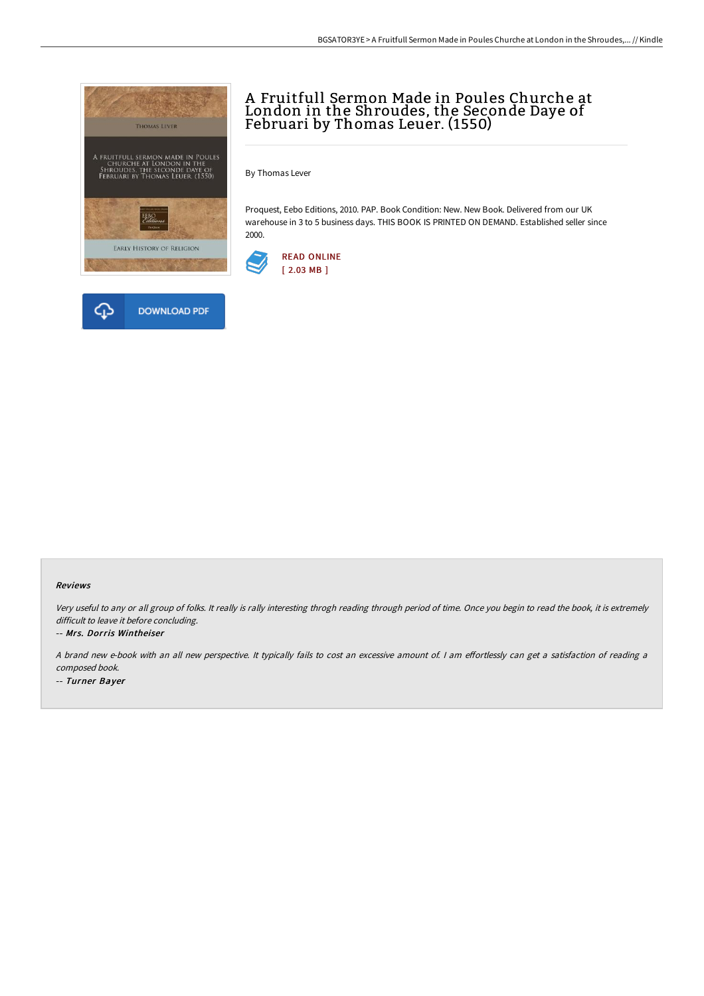



#### Reviews

Very useful to any or all group of folks. It really is rally interesting throgh reading through period of time. Once you begin to read the book, it is extremely difficult to leave it before concluding.

#### -- Mrs. Dorris Wintheiser

A brand new e-book with an all new perspective. It typically fails to cost an excessive amount of. I am effortlessly can get a satisfaction of reading a composed book.

-- Turner Bayer

# A Fruitfull Sermon Made in Poules Churche at London in the Shroudes, the Seconde Daye of Februari by Thomas Leuer. (1550)

By Thomas Lever

Proquest, Eebo Editions, 2010. PAP. Book Condition: New. New Book. Delivered from our UK warehouse in 3 to 5 business days. THIS BOOK IS PRINTED ON DEMAND. Established seller since 2000.